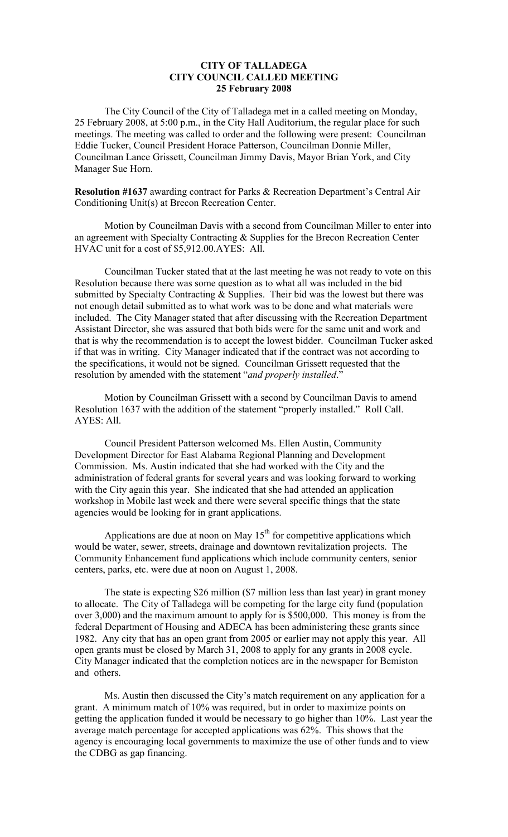## **CITY OF TALLADEGA CITY COUNCIL CALLED MEETING 25 February 2008**

The City Council of the City of Talladega met in a called meeting on Monday, 25 February 2008, at 5:00 p.m., in the City Hall Auditorium, the regular place for such meetings. The meeting was called to order and the following were present: Councilman Eddie Tucker, Council President Horace Patterson, Councilman Donnie Miller, Councilman Lance Grissett, Councilman Jimmy Davis, Mayor Brian York, and City Manager Sue Horn.

**Resolution #1637** awarding contract for Parks & Recreation Department's Central Air Conditioning Unit(s) at Brecon Recreation Center.

Motion by Councilman Davis with a second from Councilman Miller to enter into an agreement with Specialty Contracting & Supplies for the Brecon Recreation Center HVAC unit for a cost of \$5,912.00.AYES: All.

Councilman Tucker stated that at the last meeting he was not ready to vote on this Resolution because there was some question as to what all was included in the bid submitted by Specialty Contracting  $&$  Supplies. Their bid was the lowest but there was not enough detail submitted as to what work was to be done and what materials were included. The City Manager stated that after discussing with the Recreation Department Assistant Director, she was assured that both bids were for the same unit and work and that is why the recommendation is to accept the lowest bidder. Councilman Tucker asked if that was in writing. City Manager indicated that if the contract was not according to the specifications, it would not be signed. Councilman Grissett requested that the resolution by amended with the statement "*and properly installed*."

Motion by Councilman Grissett with a second by Councilman Davis to amend Resolution 1637 with the addition of the statement "properly installed." Roll Call. AYES: All.

Council President Patterson welcomed Ms. Ellen Austin, Community Development Director for East Alabama Regional Planning and Development Commission. Ms. Austin indicated that she had worked with the City and the administration of federal grants for several years and was looking forward to working with the City again this year. She indicated that she had attended an application workshop in Mobile last week and there were several specific things that the state agencies would be looking for in grant applications.

Applications are due at noon on May  $15<sup>th</sup>$  for competitive applications which would be water, sewer, streets, drainage and downtown revitalization projects. The Community Enhancement fund applications which include community centers, senior centers, parks, etc. were due at noon on August 1, 2008.

The state is expecting \$26 million (\$7 million less than last year) in grant money to allocate. The City of Talladega will be competing for the large city fund (population over 3,000) and the maximum amount to apply for is \$500,000. This money is from the federal Department of Housing and ADECA has been administering these grants since 1982. Any city that has an open grant from 2005 or earlier may not apply this year. All open grants must be closed by March 31, 2008 to apply for any grants in 2008 cycle. City Manager indicated that the completion notices are in the newspaper for Bemiston and others.

Ms. Austin then discussed the City's match requirement on any application for a grant. A minimum match of 10% was required, but in order to maximize points on getting the application funded it would be necessary to go higher than 10%. Last year the average match percentage for accepted applications was 62%. This shows that the agency is encouraging local governments to maximize the use of other funds and to view the CDBG as gap financing.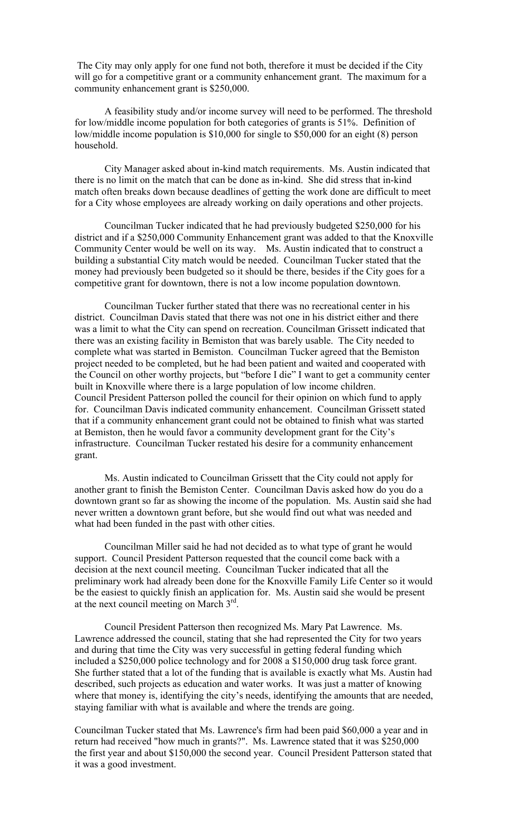The City may only apply for one fund not both, therefore it must be decided if the City will go for a competitive grant or a community enhancement grant. The maximum for a community enhancement grant is \$250,000.

A feasibility study and/or income survey will need to be performed. The threshold for low/middle income population for both categories of grants is 51%. Definition of low/middle income population is \$10,000 for single to \$50,000 for an eight (8) person household.

City Manager asked about in-kind match requirements. Ms. Austin indicated that there is no limit on the match that can be done as in-kind. She did stress that in-kind match often breaks down because deadlines of getting the work done are difficult to meet for a City whose employees are already working on daily operations and other projects.

Councilman Tucker indicated that he had previously budgeted \$250,000 for his district and if a \$250,000 Community Enhancement grant was added to that the Knoxville Community Center would be well on its way. Ms. Austin indicated that to construct a building a substantial City match would be needed. Councilman Tucker stated that the money had previously been budgeted so it should be there, besides if the City goes for a competitive grant for downtown, there is not a low income population downtown.

Councilman Tucker further stated that there was no recreational center in his district. Councilman Davis stated that there was not one in his district either and there was a limit to what the City can spend on recreation. Councilman Grissett indicated that there was an existing facility in Bemiston that was barely usable. The City needed to complete what was started in Bemiston. Councilman Tucker agreed that the Bemiston project needed to be completed, but he had been patient and waited and cooperated with the Council on other worthy projects, but "before I die" I want to get a community center built in Knoxville where there is a large population of low income children. Council President Patterson polled the council for their opinion on which fund to apply for. Councilman Davis indicated community enhancement. Councilman Grissett stated that if a community enhancement grant could not be obtained to finish what was started at Bemiston, then he would favor a community development grant for the City's infrastructure. Councilman Tucker restated his desire for a community enhancement grant.

Ms. Austin indicated to Councilman Grissett that the City could not apply for another grant to finish the Bemiston Center. Councilman Davis asked how do you do a downtown grant so far as showing the income of the population. Ms. Austin said she had never written a downtown grant before, but she would find out what was needed and what had been funded in the past with other cities.

Councilman Miller said he had not decided as to what type of grant he would support. Council President Patterson requested that the council come back with a decision at the next council meeting. Councilman Tucker indicated that all the preliminary work had already been done for the Knoxville Family Life Center so it would be the easiest to quickly finish an application for. Ms. Austin said she would be present at the next council meeting on March 3rd.

Council President Patterson then recognized Ms. Mary Pat Lawrence. Ms. Lawrence addressed the council, stating that she had represented the City for two years and during that time the City was very successful in getting federal funding which included a \$250,000 police technology and for 2008 a \$150,000 drug task force grant. She further stated that a lot of the funding that is available is exactly what Ms. Austin had described, such projects as education and water works. It was just a matter of knowing where that money is, identifying the city's needs, identifying the amounts that are needed, staying familiar with what is available and where the trends are going.

Councilman Tucker stated that Ms. Lawrence's firm had been paid \$60,000 a year and in return had received "how much in grants?". Ms. Lawrence stated that it was \$250,000 the first year and about \$150,000 the second year. Council President Patterson stated that it was a good investment.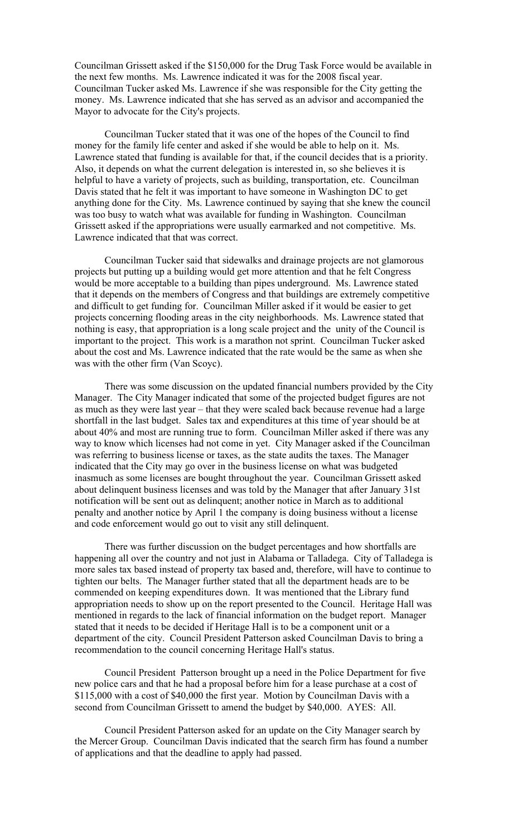Councilman Grissett asked if the \$150,000 for the Drug Task Force would be available in the next few months. Ms. Lawrence indicated it was for the 2008 fiscal year. Councilman Tucker asked Ms. Lawrence if she was responsible for the City getting the money. Ms. Lawrence indicated that she has served as an advisor and accompanied the Mayor to advocate for the City's projects.

Councilman Tucker stated that it was one of the hopes of the Council to find money for the family life center and asked if she would be able to help on it. Ms. Lawrence stated that funding is available for that, if the council decides that is a priority. Also, it depends on what the current delegation is interested in, so she believes it is helpful to have a variety of projects, such as building, transportation, etc. Councilman Davis stated that he felt it was important to have someone in Washington DC to get anything done for the City. Ms. Lawrence continued by saying that she knew the council was too busy to watch what was available for funding in Washington. Councilman Grissett asked if the appropriations were usually earmarked and not competitive. Ms. Lawrence indicated that that was correct.

Councilman Tucker said that sidewalks and drainage projects are not glamorous projects but putting up a building would get more attention and that he felt Congress would be more acceptable to a building than pipes underground. Ms. Lawrence stated that it depends on the members of Congress and that buildings are extremely competitive and difficult to get funding for. Councilman Miller asked if it would be easier to get projects concerning flooding areas in the city neighborhoods. Ms. Lawrence stated that nothing is easy, that appropriation is a long scale project and the unity of the Council is important to the project. This work is a marathon not sprint. Councilman Tucker asked about the cost and Ms. Lawrence indicated that the rate would be the same as when she was with the other firm (Van Scoyc).

There was some discussion on the updated financial numbers provided by the City Manager. The City Manager indicated that some of the projected budget figures are not as much as they were last year – that they were scaled back because revenue had a large shortfall in the last budget. Sales tax and expenditures at this time of year should be at about 40% and most are running true to form. Councilman Miller asked if there was any way to know which licenses had not come in yet. City Manager asked if the Councilman was referring to business license or taxes, as the state audits the taxes. The Manager indicated that the City may go over in the business license on what was budgeted inasmuch as some licenses are bought throughout the year. Councilman Grissett asked about delinquent business licenses and was told by the Manager that after January 31st notification will be sent out as delinquent; another notice in March as to additional penalty and another notice by April 1 the company is doing business without a license and code enforcement would go out to visit any still delinquent.

There was further discussion on the budget percentages and how shortfalls are happening all over the country and not just in Alabama or Talladega. City of Talladega is more sales tax based instead of property tax based and, therefore, will have to continue to tighten our belts. The Manager further stated that all the department heads are to be commended on keeping expenditures down. It was mentioned that the Library fund appropriation needs to show up on the report presented to the Council. Heritage Hall was mentioned in regards to the lack of financial information on the budget report. Manager stated that it needs to be decided if Heritage Hall is to be a component unit or a department of the city. Council President Patterson asked Councilman Davis to bring a recommendation to the council concerning Heritage Hall's status.

Council President Patterson brought up a need in the Police Department for five new police cars and that he had a proposal before him for a lease purchase at a cost of \$115,000 with a cost of \$40,000 the first year. Motion by Councilman Davis with a second from Councilman Grissett to amend the budget by \$40,000. AYES: All.

Council President Patterson asked for an update on the City Manager search by the Mercer Group. Councilman Davis indicated that the search firm has found a number of applications and that the deadline to apply had passed.